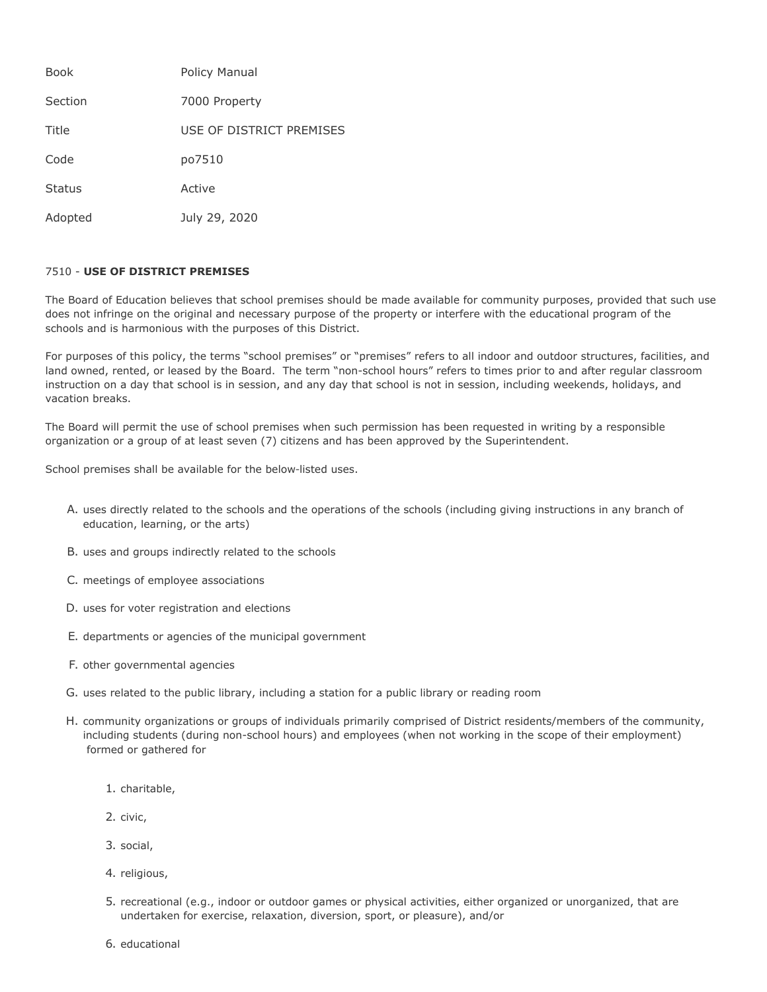| <b>Book</b>   | Policy Manual            |
|---------------|--------------------------|
| Section       | 7000 Property            |
| Title         | USE OF DISTRICT PREMISES |
| Code          | po7510                   |
| <b>Status</b> | Active                   |
| Adopted       | July 29, 2020            |

## 7510 - **USE OF DISTRICT PREMISES**

The Board of Education believes that school premises should be made available for community purposes, provided that such use does not infringe on the original and necessary purpose of the property or interfere with the educational program of the schools and is harmonious with the purposes of this District.

For purposes of this policy, the terms "school premises" or "premises" refers to all indoor and outdoor structures, facilities, and land owned, rented, or leased by the Board. The term "non-school hours" refers to times prior to and after regular classroom instruction on a day that school is in session, and any day that school is not in session, including weekends, holidays, and vacation breaks.

The Board will permit the use of school premises when such permission has been requested in writing by a responsible organization or a group of at least seven (7) citizens and has been approved by the Superintendent.

School premises shall be available for the below-listed uses.

- A. uses directly related to the schools and the operations of the schools (including giving instructions in any branch of education, learning, or the arts)
- B. uses and groups indirectly related to the schools
- C. meetings of employee associations
- D. uses for voter registration and elections
- E. departments or agencies of the municipal government
- F. other governmental agencies
- G. uses related to the public library, including a station for a public library or reading room
- H. community organizations or groups of individuals primarily comprised of District residents/members of the community, including students (during non-school hours) and employees (when not working in the scope of their employment) formed or gathered for
	- 1. charitable,
	- 2. civic,
	- 3. social,
	- 4. religious,
	- 5. recreational (e.g., indoor or outdoor games or physical activities, either organized or unorganized, that are undertaken for exercise, relaxation, diversion, sport, or pleasure), and/or
	- 6. educational